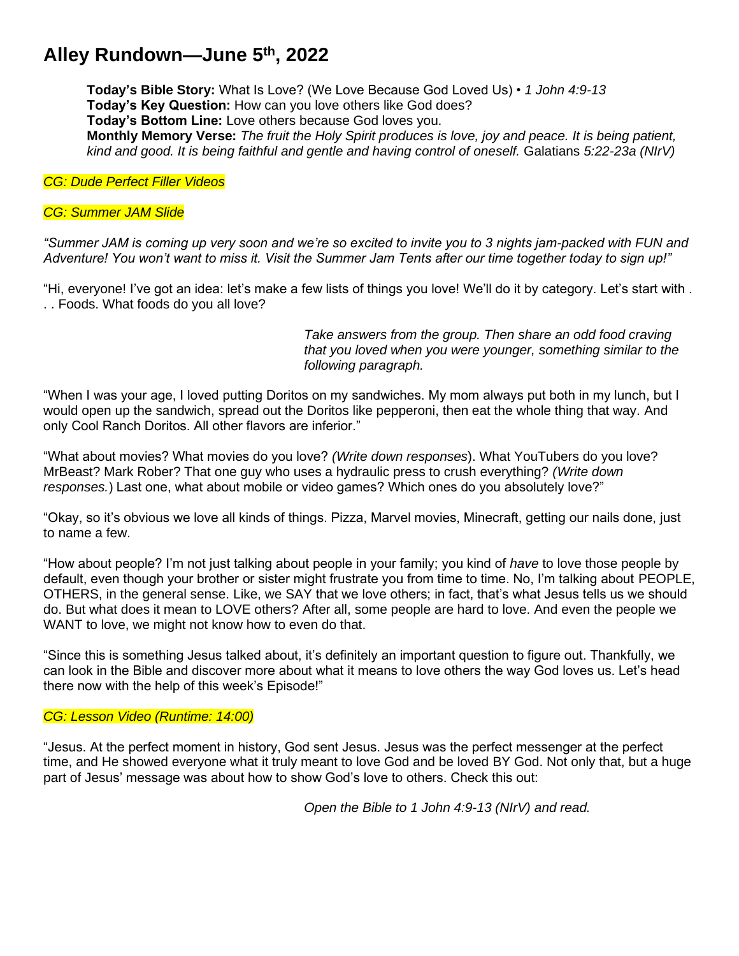# **Alley Rundown—June 5th , 2022**

**Today's Bible Story:** What Is Love? (We Love Because God Loved Us) • *1 John 4:9-13* **Today's Key Question:** How can you love others like God does? **Today's Bottom Line:** Love others because God loves you. **Monthly Memory Verse:** *The fruit the Holy Spirit produces is love, joy and peace. It is being patient, kind and good. It is being faithful and gentle and having control of oneself.* Galatians *5:22-23a (NIrV)*

*CG: Dude Perfect Filler Videos*

## *CG: Summer JAM Slide*

*"Summer JAM is coming up very soon and we're so excited to invite you to 3 nights jam-packed with FUN and Adventure! You won't want to miss it. Visit the Summer Jam Tents after our time together today to sign up!"*

"Hi, everyone! I've got an idea: let's make a few lists of things you love! We'll do it by category. Let's start with . . . Foods. What foods do you all love?

> *Take answers from the group. Then share an odd food craving that you loved when you were younger, something similar to the following paragraph.*

"When I was your age, I loved putting Doritos on my sandwiches. My mom always put both in my lunch, but I would open up the sandwich, spread out the Doritos like pepperoni, then eat the whole thing that way. And only Cool Ranch Doritos. All other flavors are inferior."

"What about movies? What movies do you love? *(Write down responses*). What YouTubers do you love? MrBeast? Mark Rober? That one guy who uses a hydraulic press to crush everything? *(Write down responses.*) Last one, what about mobile or video games? Which ones do you absolutely love?"

"Okay, so it's obvious we love all kinds of things. Pizza, Marvel movies, Minecraft, getting our nails done, just to name a few.

"How about people? I'm not just talking about people in your family; you kind of *have* to love those people by default, even though your brother or sister might frustrate you from time to time. No, I'm talking about PEOPLE, OTHERS, in the general sense. Like, we SAY that we love others; in fact, that's what Jesus tells us we should do. But what does it mean to LOVE others? After all, some people are hard to love. And even the people we WANT to love, we might not know how to even do that.

"Since this is something Jesus talked about, it's definitely an important question to figure out. Thankfully, we can look in the Bible and discover more about what it means to love others the way God loves us. Let's head there now with the help of this week's Episode!"

#### *CG: Lesson Video (Runtime: 14:00)*

"Jesus. At the perfect moment in history, God sent Jesus. Jesus was the perfect messenger at the perfect time, and He showed everyone what it truly meant to love God and be loved BY God. Not only that, but a huge part of Jesus' message was about how to show God's love to others. Check this out:

*Open the Bible to 1 John 4:9-13 (NIrV) and read.*